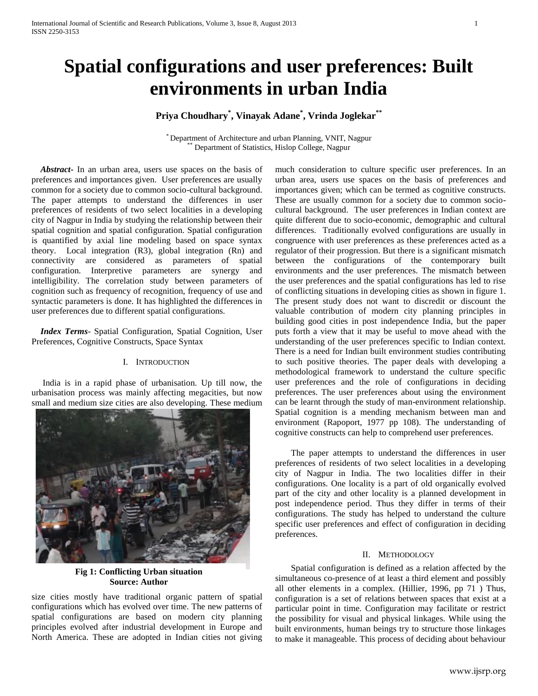# **Spatial configurations and user preferences: Built environments in urban India**

# **Priya Choudhary\* , Vinayak Adane\* , Vrinda Joglekar\*\***

\* Department of Architecture and urban Planning, VNIT, Nagpur Department of Statistics, Hislop College, Nagpur

 *Abstract***-** In an urban area, users use spaces on the basis of preferences and importances given. User preferences are usually common for a society due to common socio-cultural background. The paper attempts to understand the differences in user preferences of residents of two select localities in a developing city of Nagpur in India by studying the relationship between their spatial cognition and spatial configuration. Spatial configuration is quantified by axial line modeling based on space syntax theory. Local integration (R3), global integration (Rn) and connectivity are considered as parameters of spatial configuration. Interpretive parameters are synergy and intelligibility. The correlation study between parameters of cognition such as frequency of recognition, frequency of use and syntactic parameters is done. It has highlighted the differences in user preferences due to different spatial configurations.

 *Index Terms*- Spatial Configuration, Spatial Cognition, User Preferences, Cognitive Constructs, Space Syntax

#### I. INTRODUCTION

 India is in a rapid phase of urbanisation. Up till now, the urbanisation process was mainly affecting megacities, but now small and medium size cities are also developing. These medium



**Fig 1: Conflicting Urban situation Source: Author**

size cities mostly have traditional organic pattern of spatial configurations which has evolved over time. The new patterns of spatial configurations are based on modern city planning principles evolved after industrial development in Europe and North America. These are adopted in Indian cities not giving

much consideration to culture specific user preferences. In an urban area, users use spaces on the basis of preferences and importances given; which can be termed as cognitive constructs. These are usually common for a society due to common sociocultural background. The user preferences in Indian context are quite different due to socio-economic, demographic and cultural differences. Traditionally evolved configurations are usually in congruence with user preferences as these preferences acted as a regulator of their progression. But there is a significant mismatch between the configurations of the contemporary built environments and the user preferences. The mismatch between the user preferences and the spatial configurations has led to rise of conflicting situations in developing cities as shown in figure 1. The present study does not want to discredit or discount the valuable contribution of modern city planning principles in building good cities in post independence India, but the paper puts forth a view that it may be useful to move ahead with the understanding of the user preferences specific to Indian context. There is a need for Indian built environment studies contributing to such positive theories. The paper deals with developing a methodological framework to understand the culture specific user preferences and the role of configurations in deciding preferences. The user preferences about using the environment can be learnt through the study of man-environment relationship. Spatial cognition is a mending mechanism between man and environment (Rapoport, 1977 pp 108). The understanding of cognitive constructs can help to comprehend user preferences.

The paper attempts to understand the differences in user preferences of residents of two select localities in a developing city of Nagpur in India. The two localities differ in their configurations. One locality is a part of old organically evolved part of the city and other locality is a planned development in post independence period. Thus they differ in terms of their configurations. The study has helped to understand the culture specific user preferences and effect of configuration in deciding preferences.

#### II. METHODOLOGY

Spatial configuration is defined as a relation affected by the simultaneous co-presence of at least a third element and possibly all other elements in a complex. (Hillier, 1996, pp 71 ) Thus, configuration is a set of relations between spaces that exist at a particular point in time. Configuration may facilitate or restrict the possibility for visual and physical linkages. While using the built environments, human beings try to structure those linkages to make it manageable. This process of deciding about behaviour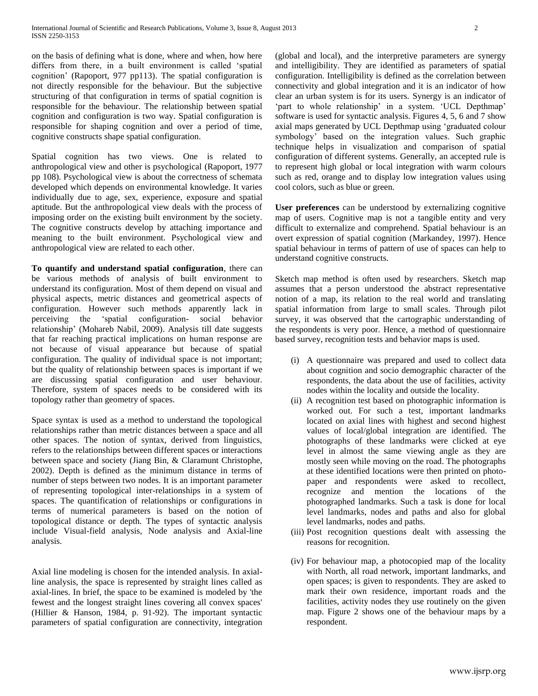on the basis of defining what is done, where and when, how here differs from there, in a built environment is called 'spatial cognition' (Rapoport, 977 pp113). The spatial configuration is not directly responsible for the behaviour. But the subjective structuring of that configuration in terms of spatial cognition is responsible for the behaviour. The relationship between spatial cognition and configuration is two way. Spatial configuration is responsible for shaping cognition and over a period of time, cognitive constructs shape spatial configuration.

Spatial cognition has two views. One is related to anthropological view and other is psychological (Rapoport, 1977 pp 108). Psychological view is about the correctness of schemata developed which depends on environmental knowledge. It varies individually due to age, sex, experience, exposure and spatial aptitude. But the anthropological view deals with the process of imposing order on the existing built environment by the society. The cognitive constructs develop by attaching importance and meaning to the built environment. Psychological view and anthropological view are related to each other.

**To quantify and understand spatial configuration**, there can be various methods of analysis of built environment to understand its configuration. Most of them depend on visual and physical aspects, metric distances and geometrical aspects of configuration. However such methods apparently lack in perceiving the 'spatial configuration- social behavior relationship' (Mohareb Nabil, 2009). Analysis till date suggests that far reaching practical implications on human response are not because of visual appearance but because of spatial configuration. The quality of individual space is not important; but the quality of relationship between spaces is important if we are discussing spatial configuration and user behaviour. Therefore, system of spaces needs to be considered with its topology rather than geometry of spaces.

Space syntax is used as a method to understand the topological relationships rather than metric distances between a space and all other spaces. The notion of syntax, derived from linguistics, refers to the relationships between different spaces or interactions between space and society (Jiang Bin, & Claramunt Christophe, 2002). Depth is defined as the minimum distance in terms of number of steps between two nodes. It is an important parameter of representing topological inter-relationships in a system of spaces. The quantification of relationships or configurations in terms of numerical parameters is based on the notion of topological distance or depth. The types of syntactic analysis include Visual-field analysis, Node analysis and Axial-line analysis.

Axial line modeling is chosen for the intended analysis. In axialline analysis, the space is represented by straight lines called as axial-lines. In brief, the space to be examined is modeled by 'the fewest and the longest straight lines covering all convex spaces' (Hillier & Hanson, 1984, p. 91-92). The important syntactic parameters of spatial configuration are connectivity, integration

(global and local), and the interpretive parameters are synergy and intelligibility. They are identified as parameters of spatial configuration. Intelligibility is defined as the correlation between connectivity and global integration and it is an indicator of how clear an urban system is for its users. Synergy is an indicator of 'part to whole relationship' in a system. 'UCL Depthmap' software is used for syntactic analysis. Figures 4, 5, 6 and 7 show axial maps generated by UCL Depthmap using 'graduated colour symbology' based on the integration values. Such graphic technique helps in visualization and comparison of spatial configuration of different systems. Generally, an accepted rule is to represent high global or local integration with warm colours such as red, orange and to display low integration values using cool colors, such as blue or green.

**User preferences** can be understood by externalizing cognitive map of users. Cognitive map is not a tangible entity and very difficult to externalize and comprehend. Spatial behaviour is an overt expression of spatial cognition (Markandey, 1997). Hence spatial behaviour in terms of pattern of use of spaces can help to understand cognitive constructs.

Sketch map method is often used by researchers. Sketch map assumes that a person understood the abstract representative notion of a map, its relation to the real world and translating spatial information from large to small scales. Through pilot survey, it was observed that the cartographic understanding of the respondents is very poor. Hence, a method of questionnaire based survey, recognition tests and behavior maps is used.

- (i) A questionnaire was prepared and used to collect data about cognition and socio demographic character of the respondents, the data about the use of facilities, activity nodes within the locality and outside the locality.
- (ii) A recognition test based on photographic information is worked out. For such a test, important landmarks located on axial lines with highest and second highest values of local/global integration are identified. The photographs of these landmarks were clicked at eye level in almost the same viewing angle as they are mostly seen while moving on the road. The photographs at these identified locations were then printed on photopaper and respondents were asked to recollect, recognize and mention the locations of the photographed landmarks. Such a task is done for local level landmarks, nodes and paths and also for global level landmarks, nodes and paths.
- (iii) Post recognition questions dealt with assessing the reasons for recognition.
- (iv) For behaviour map, a photocopied map of the locality with North, all road network, important landmarks, and open spaces; is given to respondents. They are asked to mark their own residence, important roads and the facilities, activity nodes they use routinely on the given map. Figure 2 shows one of the behaviour maps by a respondent.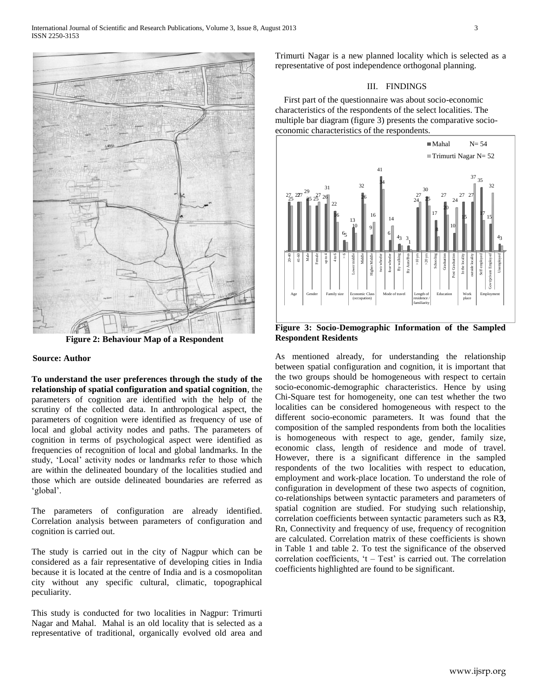

**Figure 2: Behaviour Map of a Respondent**

## **Source: Author**

**To understand the user preferences through the study of the relationship of spatial configuration and spatial cognition**, the parameters of cognition are identified with the help of the scrutiny of the collected data. In anthropological aspect, the parameters of cognition were identified as frequency of use of local and global activity nodes and paths. The parameters of cognition in terms of psychological aspect were identified as frequencies of recognition of local and global landmarks. In the study, 'Local' activity nodes or landmarks refer to those which are within the delineated boundary of the localities studied and those which are outside delineated boundaries are referred as 'global'.

The parameters of configuration are already identified. Correlation analysis between parameters of configuration and cognition is carried out.

The study is carried out in the city of Nagpur which can be considered as a fair representative of developing cities in India because it is located at the centre of India and is a cosmopolitan city without any specific cultural, climatic, topographical peculiarity.

This study is conducted for two localities in Nagpur: Trimurti Nagar and Mahal. Mahal is an old locality that is selected as a representative of traditional, organically evolved old area and Trimurti Nagar is a new planned locality which is selected as a representative of post independence orthogonal planning.

#### III. FINDINGS

 First part of the questionnaire was about socio-economic characteristics of the respondents of the select localities. The multiple bar diagram (figure 3) presents the comparative socioeconomic characteristics of the respondents.



**Figure 3: Socio-Demographic Information of the Sampled Respondent Residents** 

As mentioned already, for understanding the relationship between spatial configuration and cognition, it is important that the two groups should be homogeneous with respect to certain socio-economic-demographic characteristics. Hence by using Chi-Square test for homogeneity, one can test whether the two localities can be considered homogeneous with respect to the different socio-economic parameters. It was found that the composition of the sampled respondents from both the localities is homogeneous with respect to age, gender, family size, economic class, length of residence and mode of travel. However, there is a significant difference in the sampled respondents of the two localities with respect to education, employment and work-place location. To understand the role of configuration in development of these two aspects of cognition, co-relationships between syntactic parameters and parameters of spatial cognition are studied. For studying such relationship, correlation coefficients between syntactic parameters such as R**3**, Rn, Connectivity and frequency of use, frequency of recognition are calculated. Correlation matrix of these coefficients is shown in Table 1 and table 2. To test the significance of the observed correlation coefficients, 't – Test' is carried out. The correlation coefficients highlighted are found to be significant. 20-40 41-60 Male Female up to 4 4 to 6 > 6 Lower middle Middle Higher Middle two wheeler four wheeler By walking By Auto/Bus >10 yrs >20 yrs Schooling Graduation Post Graduation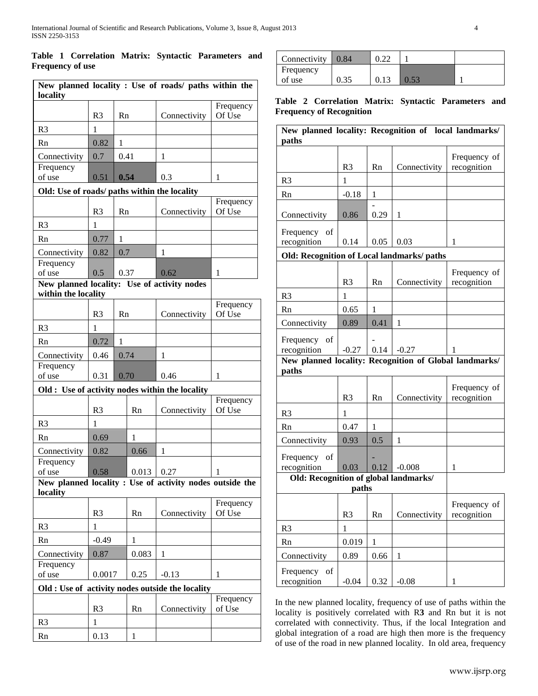### **Table 1 Correlation Matrix: Syntactic Parameters and Frequency of use**

| New planned locality : Use of roads/ paths within the<br>locality  |                |              |                      |                                                          |                     |
|--------------------------------------------------------------------|----------------|--------------|----------------------|----------------------------------------------------------|---------------------|
|                                                                    | R <sub>3</sub> | Rn           |                      | Connectivity                                             | Frequency<br>Of Use |
| R <sub>3</sub>                                                     | 1              |              |                      |                                                          |                     |
| Rn                                                                 | 0.82           | 1            |                      |                                                          |                     |
| Connectivity                                                       | 0.7            | 0.41         |                      | 1                                                        |                     |
| Frequency                                                          |                |              |                      |                                                          |                     |
| of use                                                             | 0.51           | 0.54         |                      | 0.3                                                      | 1                   |
| Old: Use of roads/ paths within the locality                       |                |              |                      |                                                          |                     |
|                                                                    | R <sub>3</sub> | Rn           |                      | Connectivity                                             | Frequency<br>Of Use |
| R <sub>3</sub>                                                     | 1              |              |                      |                                                          |                     |
| Rn                                                                 | 0.77           | $\mathbf{1}$ |                      |                                                          |                     |
| Connectivity                                                       | 0.82           | 0.7          |                      | 1                                                        |                     |
| Frequency                                                          |                |              |                      |                                                          |                     |
| of use                                                             | 0.5            | 0.37         |                      | 0.62                                                     | 1                   |
| New planned locality: Use of activity nodes<br>within the locality |                |              |                      |                                                          |                     |
|                                                                    |                |              |                      |                                                          | Frequency           |
|                                                                    | R <sub>3</sub> | Rn           |                      | Connectivity                                             | Of Use              |
| R <sub>3</sub>                                                     | 1              |              |                      |                                                          |                     |
| Rn                                                                 | 0.72           | 1            |                      |                                                          |                     |
| Connectivity                                                       | 0.46           | 0.74         |                      | 1                                                        |                     |
| Frequency<br>of use                                                | 0.31           | 0.70         |                      | 0.46                                                     | 1                   |
| Old : Use of activity nodes within the locality                    |                |              |                      |                                                          |                     |
|                                                                    |                |              |                      |                                                          | Frequency           |
|                                                                    | R <sub>3</sub> |              | Rn                   | Connectivity                                             | Of Use              |
| R <sub>3</sub>                                                     | $\mathbf{1}$   |              |                      |                                                          |                     |
| Rn                                                                 | 0.69           |              | 1                    |                                                          |                     |
| Connectivity                                                       | 0.82           |              | 0.66                 | 1                                                        |                     |
| Frequency                                                          |                |              |                      |                                                          |                     |
| of use                                                             | 0.58           |              | $0.013 \,   \, 0.27$ | New planned locality : Use of activity nodes outside the | 1                   |
| locality                                                           |                |              |                      |                                                          |                     |
|                                                                    | R <sub>3</sub> |              | Rn                   | Connectivity                                             | Frequency<br>Of Use |
| R <sub>3</sub>                                                     | $\mathbf{1}$   |              |                      |                                                          |                     |
| Rn                                                                 | $-0.49$        |              | 1                    |                                                          |                     |
| Connectivity                                                       | 0.87           |              | 0.083                | 1                                                        |                     |
| Frequency                                                          |                |              |                      |                                                          |                     |
| of use                                                             | 0.0017         |              | 0.25                 | $-0.13$                                                  | 1                   |
|                                                                    |                |              |                      | Old : Use of activity nodes outside the locality         |                     |
|                                                                    | R <sub>3</sub> |              | Rn                   | Connectivity                                             | Frequency<br>of Use |
| R <sub>3</sub>                                                     | 1              |              |                      |                                                          |                     |
| Rn                                                                 | 0.13           |              | 1                    |                                                          |                     |

| Connectivity $\vert 0.84 \vert$ |  |  |
|---------------------------------|--|--|
| Frequency                       |  |  |
| of use                          |  |  |

**Table 2 Correlation Matrix: Syntactic Parameters and Frequency of Recognition**

| New planned locality: Recognition of local landmarks/<br>paths  |                |              |              |                             |  |
|-----------------------------------------------------------------|----------------|--------------|--------------|-----------------------------|--|
|                                                                 | R <sub>3</sub> | Rn           | Connectivity | Frequency of<br>recognition |  |
| R <sub>3</sub>                                                  | 1              |              |              |                             |  |
| Rn                                                              | $-0.18$        | 1            |              |                             |  |
| Connectivity                                                    | 0.86           | 0.29         | 1            |                             |  |
| Frequency of<br>recognition                                     | 0.14           | 0.05         | 0.03         | 1                           |  |
| <b>Old: Recognition of Local landmarks/ paths</b>               |                |              |              |                             |  |
|                                                                 | R <sub>3</sub> | Rn           | Connectivity | Frequency of<br>recognition |  |
| R <sub>3</sub>                                                  | 1              |              |              |                             |  |
| Rn                                                              | 0.65           | 1            |              |                             |  |
| Connectivity                                                    | 0.89           | 0.41         | 1            |                             |  |
| Frequency of<br>recognition                                     | $-0.27$        | 0.14         | $-0.27$      | 1                           |  |
| New planned locality: Recognition of Global landmarks/<br>paths |                |              |              |                             |  |
|                                                                 | R <sub>3</sub> | Rn           | Connectivity | Frequency of<br>recognition |  |
| R <sub>3</sub>                                                  | 1              |              |              |                             |  |
| Rn                                                              | 0.47           | 1            |              |                             |  |
| Connectivity                                                    | 0.93           | 0.5          | 1            |                             |  |
| Frequency of<br>recognition                                     | 0.03           | 0.12         | $-0.008$     | 1                           |  |
| Old: Recognition of global landmarks/<br>paths                  |                |              |              |                             |  |
|                                                                 | R <sub>3</sub> | Rn           | Connectivity | Frequency of<br>recognition |  |
| R <sub>3</sub>                                                  | $\mathbf{1}$   |              |              |                             |  |
| Rn                                                              | 0.019          | $\mathbf{1}$ |              |                             |  |
| Connectivity                                                    | 0.89           | 0.66         | $\mathbf{1}$ |                             |  |
| Frequency<br>of<br>recognition                                  | $-0.04$        | 0.32         | $-0.08$      | $\mathbf{1}$                |  |

In the new planned locality, frequency of use of paths within the locality is positively correlated with R**3** and Rn but it is not correlated with connectivity. Thus, if the local Integration and global integration of a road are high then more is the frequency of use of the road in new planned locality. In old area, frequency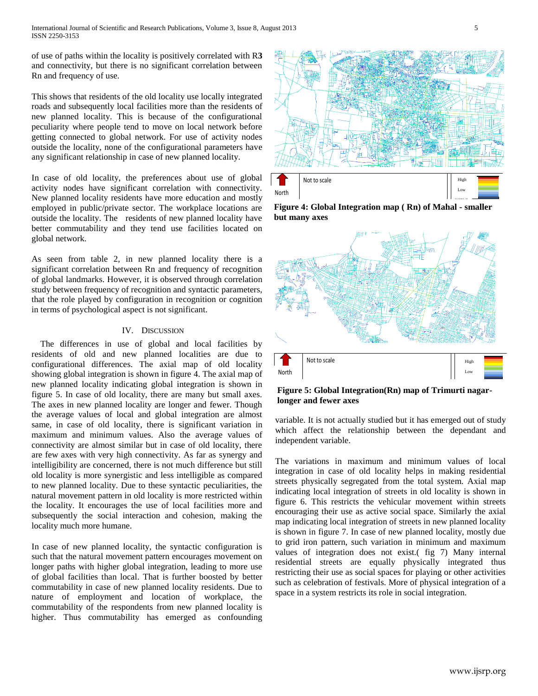of use of paths within the locality is positively correlated with R**3** and connectivity, but there is no significant correlation between Rn and frequency of use.

This shows that residents of the old locality use locally integrated roads and subsequently local facilities more than the residents of new planned locality. This is because of the configurational peculiarity where people tend to move on local network before getting connected to global network. For use of activity nodes outside the locality, none of the configurational parameters have any significant relationship in case of new planned locality.

In case of old locality, the preferences about use of global activity nodes have significant correlation with connectivity. New planned locality residents have more education and mostly employed in public/private sector. The workplace locations are outside the locality. The residents of new planned locality have better commutability and they tend use facilities located on global network.

As seen from table 2, in new planned locality there is a significant correlation between Rn and frequency of recognition of global landmarks. However, it is observed through correlation study between frequency of recognition and syntactic parameters, that the role played by configuration in recognition or cognition in terms of psychological aspect is not significant.

#### IV. DISCUSSION

 The differences in use of global and local facilities by residents of old and new planned localities are due to configurational differences. The axial map of old locality showing global integration is shown in figure 4. The axial map of new planned locality indicating global integration is shown in figure 5. In case of old locality, there are many but small axes. The axes in new planned locality are longer and fewer. Though the average values of local and global integration are almost same, in case of old locality, there is significant variation in maximum and minimum values. Also the average values of connectivity are almost similar but in case of old locality, there are few axes with very high connectivity. As far as synergy and intelligibility are concerned, there is not much difference but still old locality is more synergistic and less intelligible as compared to new planned locality. Due to these syntactic peculiarities, the natural movement pattern in old locality is more restricted within the locality. It encourages the use of local facilities more and subsequently the social interaction and cohesion, making the locality much more humane.

In case of new planned locality, the syntactic configuration is such that the natural movement pattern encourages movement on longer paths with higher global integration, leading to more use of global facilities than local. That is further boosted by better commutability in case of new planned locality residents. Due to nature of employment and location of workplace, the commutability of the respondents from new planned locality is higher. Thus commutability has emerged as confounding



**Figure 4: Global Integration map ( Rn) of Mahal - smaller but many axes**



**Figure 5: Global Integration(Rn) map of Trimurti nagarlonger and fewer axes**

variable. It is not actually studied but it has emerged out of study which affect the relationship between the dependant and independent variable.

The variations in maximum and minimum values of local integration in case of old locality helps in making residential streets physically segregated from the total system. Axial map indicating local integration of streets in old locality is shown in figure 6. This restricts the vehicular movement within streets encouraging their use as active social space. Similarly the axial map indicating local integration of streets in new planned locality is shown in figure 7. In case of new planned locality, mostly due to grid iron pattern, such variation in minimum and maximum values of integration does not exist.( fig 7) Many internal residential streets are equally physically integrated thus restricting their use as social spaces for playing or other activities such as celebration of festivals. More of physical integration of a space in a system restricts its role in social integration.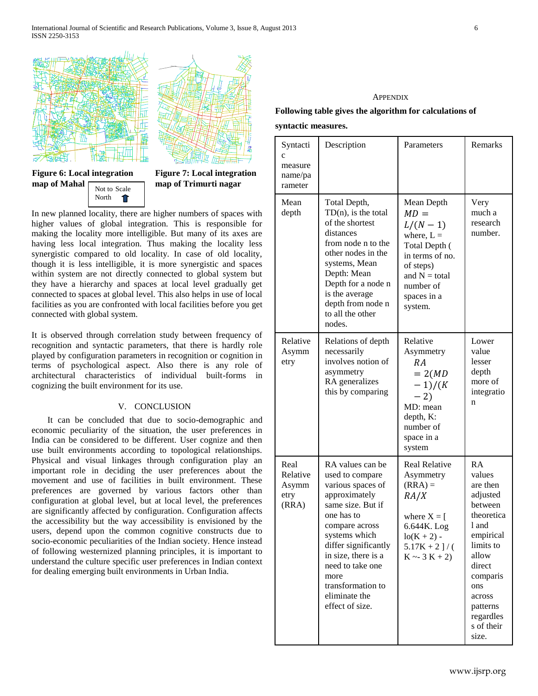



#### **Figure 6: Local integration map of Mahal** Not to Scale

North

 $\hat{\mathbf{T}}$ 

**Figure 7: Local integration map of Trimurti nagar**

In new planned locality, there are higher numbers of spaces with higher values of global integration. This is responsible for making the locality more intelligible. But many of its axes are having less local integration. Thus making the locality less synergistic compared to old locality. In case of old locality, though it is less intelligible, it is more synergistic and spaces within system are not directly connected to global system but they have a hierarchy and spaces at local level gradually get connected to spaces at global level. This also helps in use of local facilities as you are confronted with local facilities before you get connected with global system.

It is observed through correlation study between frequency of recognition and syntactic parameters, that there is hardly role played by configuration parameters in recognition or cognition in terms of psychological aspect. Also there is any role of architectural characteristics of individual built-forms in cognizing the built environment for its use.

### V. CONCLUSION

It can be concluded that due to socio-demographic and economic peculiarity of the situation, the user preferences in India can be considered to be different. User cognize and then use built environments according to topological relationships. Physical and visual linkages through configuration play an important role in deciding the user preferences about the movement and use of facilities in built environment. These preferences are governed by various factors other than configuration at global level, but at local level, the preferences are significantly affected by configuration. Configuration affects the accessibility but the way accessibility is envisioned by the users, depend upon the common cognitive constructs due to socio-economic peculiarities of the Indian society. Hence instead of following westernized planning principles, it is important to understand the culture specific user preferences in Indian context for dealing emerging built environments in Urban India.

#### **APPENDIX**

## **Following table gives the algorithm for calculations of syntactic measures.**

| Syntacti<br>$\mathbf{C}$<br>measure<br>name/pa<br>rameter | Description                                                                                                                                                                                                                                                                         | Parameters                                                                                                                                                   | Remarks                                                                                                                                                                                          |
|-----------------------------------------------------------|-------------------------------------------------------------------------------------------------------------------------------------------------------------------------------------------------------------------------------------------------------------------------------------|--------------------------------------------------------------------------------------------------------------------------------------------------------------|--------------------------------------------------------------------------------------------------------------------------------------------------------------------------------------------------|
| Mean<br>depth                                             | Total Depth,<br>$TD(n)$ , is the total<br>of the shortest<br>distances<br>from node n to the<br>other nodes in the<br>systems, Mean<br>Depth: Mean<br>Depth for a node n<br>is the average<br>depth from node n<br>to all the other<br>nodes.                                       | Mean Depth<br>$MD =$<br>$L/(N-1)$<br>where, $L =$<br>Total Depth (<br>in terms of no.<br>of steps)<br>and $N = total$<br>number of<br>spaces in a<br>system. | Very<br>much a<br>research<br>number.                                                                                                                                                            |
| Relative<br>Asymm<br>etry                                 | Relations of depth<br>necessarily<br>involves notion of<br>asymmetry<br>RA generalizes<br>this by comparing                                                                                                                                                                         | Relative<br>Asymmetry<br>RA<br>$= 2(MD)$<br>$-1)/(K)$<br>$-2)$<br>MD: mean<br>depth, K:<br>number of<br>space in a<br>system                                 | Lower<br>value<br>lesser<br>depth<br>more of<br>integratio<br>n                                                                                                                                  |
| Real<br>Relative<br>Asymm<br>etry<br>(RRA)                | RA values can be<br>used to compare<br>various spaces of<br>approximately<br>same size. But if<br>one has to<br>compare across<br>systems which<br>differ significantly<br>in size, there is a<br>need to take one<br>more<br>transformation to<br>eliminate the<br>effect of size. | <b>Real Relative</b><br>Asymmetry<br>$(RRA) =$<br>RA/X<br>where $X = [$<br>6.644K. Log<br>$\log(K + 2)$ -<br>$5.17K + 2$ ]/(<br>$K \sim 3 K + 2$             | RA<br>values<br>are then<br>adjusted<br>between<br>theoretica<br>l and<br>empirical<br>limits to<br>allow<br>direct<br>comparis<br>ons<br>across<br>patterns<br>regardles<br>s of their<br>size. |